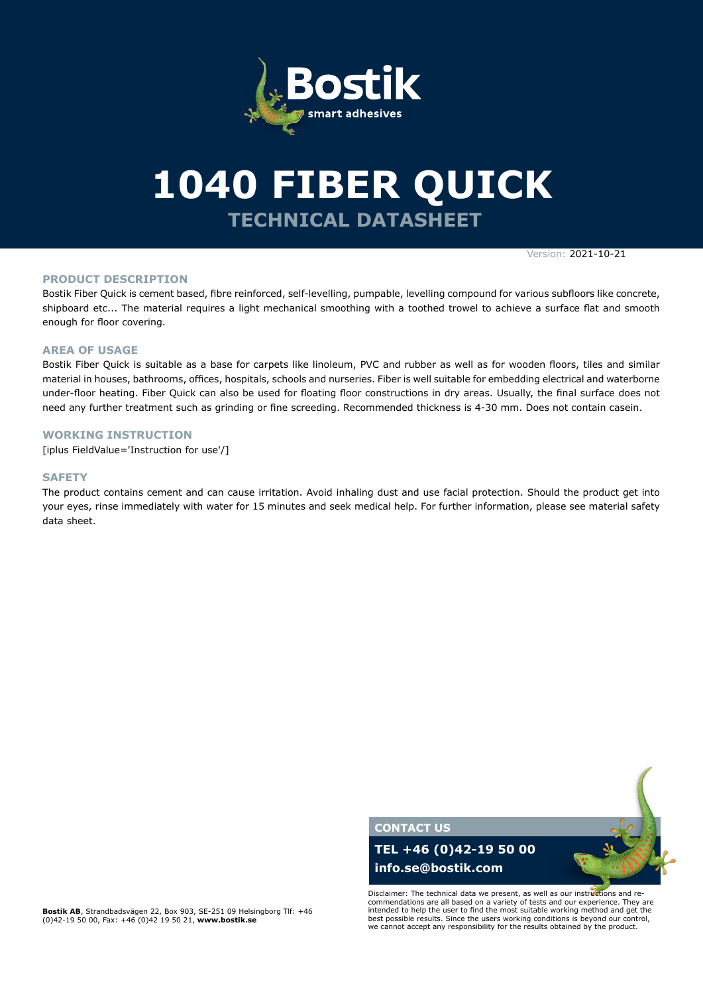

# **TECHNICAL DATASHEET 1040 FIBER QUICK**

Version: 2021-10-21

#### **PRODUCT DESCRIPTION**

Bostik Fiber Quick is cement based, fibre reinforced, self-levelling, pumpable, levelling compound for various subfloors like concrete, shipboard etc... The material requires a light mechanical smoothing with a toothed trowel to achieve a surface flat and smooth enough for floor covering.

#### **AREA OF USAGE**

Bostik Fiber Quick is suitable as a base for carpets like linoleum, PVC and rubber as well as for wooden floors, tiles and similar material in houses, bathrooms, offices, hospitals, schools and nurseries. Fiber is well suitable for embedding electrical and waterborne under-floor heating. Fiber Quick can also be used for floating floor constructions in dry areas. Usually, the final surface does not need any further treatment such as grinding or fine screeding. Recommended thickness is 4-30 mm. Does not contain casein.

### **WORKING INSTRUCTION**

[iplus FieldValue='Instruction for use'/]

#### **SAFETY**

The product contains cement and can cause irritation. Avoid inhaling dust and use facial protection. Should the product get into your eyes, rinse immediately with water for 15 minutes and seek medical help. For further information, please see material safety data sheet.



Disclaimer: The technical data we present, as well as our instructions and recommendations are all based on a variety of tests and our experience. They are intended to help the user to find the most suitable working method and get the best possible results. Since the users working conditions is beyond our control, we cannot accept any responsibility for the results obtained by the product.

**Bostik AB**, Strandbadsvägen 22, Box 903, SE-251 09 Helsingborg Tlf: +46 (0)42-19 50 00, Fax: +46 (0)42 19 50 21, **www.bostik.se**